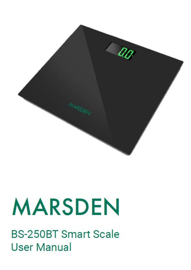

# **MARSDEN**

**BS-250BT Smart Scale User Manual**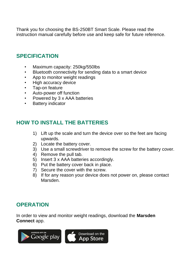Thank you for choosing the BS-250BT Smart Scale. Please read the instruction manual carefully before use and keep safe for future reference.

#### **SPECIFICATION**

- Maximum capacity: 250kg/550lbs
- Bluetooth connectivity for sending data to a smart device
- App to monitor weight readings
- High accuracy device
- Tap-on feature
- Auto-power off function
- Powered by 3 x AAA batteries
- Battery indicator

#### **HOW TO INSTALL THE BATTERIES**

- 1) Lift up the scale and turn the device over so the feet are facing upwards.
- 2) Locate the battery cover.
- 3) Use a small screwdriver to remove the screw for the battery cover.
- 4) Remove the pull tab.
- 5) Insert 3 x AAA batteries accordingly.
- 6) Put the battery cover back in place.
- 7) Secure the cover with the screw.
- 8) If for any reason your device does not power on, please contact Marsden.

#### **OPERATION**

In order to view and monitor weight readings, download the **Marsden Connect** app.

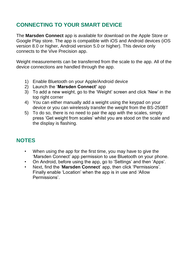### **CONNECTING TO YOUR SMART DEVICE**

The **Marsden Connect** app is available for download on the Apple Store or Google Play store. The app is compatible with iOS and Android devices (iOS version 8.0 or higher, Android version 5.0 or higher). This device only connects to the Vive Precision app.

Weight measurements can be transferred from the scale to the app. All of the device connections are handled through the app.

- 1) Enable Bluetooth on your Apple/Android device
- 2) Launch the '**Marsden Connect'** app
- 3) To add a new weight, go to the 'Weight' screen and click 'New' in the top right corner
- 4) You can either manually add a weight using the keypad on your device or you can wirelessly transfer the weight from the BS-250BT
- 5) To do so, there is no need to pair the app with the scales, simply press 'Get weight from scales' whilst you are stood on the scale and the display is flashing.

#### **NOTES**

- When using the app for the first time, you may have to give the 'Marsden Connect' app permission to use Bluetooth on your phone.
- On Android, before using the app, go to 'Settings' and then 'Apps'.
- Next, find the '**Marsden Connect**' app, then click 'Permissions'. Finally enable 'Location' when the app is in use and 'Allow Permissions'.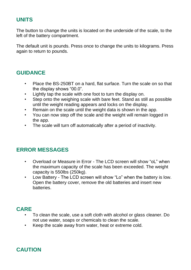#### **UNITS**

The button to change the units is located on the underside of the scale, to the left of the battery compartment.

The default unit is pounds. Press once to change the units to kilograms. Press again to return to pounds.

#### **GUIDANCE**

- Place the BS-250BT on a hard, flat surface. Turn the scale on so that the display shows "00.0".
- Lightly tap the scale with one foot to turn the display on.
- Step onto the weighing scale with bare feet. Stand as still as possible until the weight reading appears and locks on the display.
- Remain on the scale until the weight data is shown in the app.
- You can now step off the scale and the weight will remain logged in the app.
- The scale will turn off automatically after a period of inactivity.

#### **ERROR MESSAGES**

- Overload or Measure in Error The LCD screen will show "oL" when the maximum capacity of the scale has been exceeded. The weight capacity is 550lbs (250kg).
- Low Battery The LCD screen will show "Lo" when the battery is low. Open the battery cover, remove the old batteries and insert new batteries.

#### **CARE**

- To clean the scale, use a soft cloth with alcohol or glass cleaner. Do not use water, soaps or chemicals to clean the scale.
- Keep the scale away from water, heat or extreme cold.

## **CAUTION**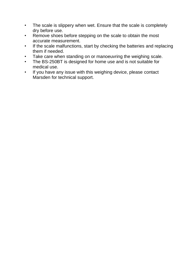- The scale is slippery when wet. Ensure that the scale is completely dry before use.
- Remove shoes before stepping on the scale to obtain the most accurate measurement.
- If the scale malfunctions, start by checking the batteries and replacing them if needed.
- Take care when standing on or manoeuvring the weighing scale.
- The BS-250BT is designed for home use and is not suitable for medical use.
- If you have any issue with this weighing device, please contact Marsden for technical support.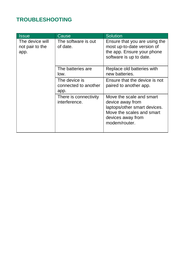### **TROUBLESHOOTING**

| <b>Issue</b>                               | Cause                                         | Solution                                                                                                                                        |
|--------------------------------------------|-----------------------------------------------|-------------------------------------------------------------------------------------------------------------------------------------------------|
| The device will<br>not pair to the<br>app. | The software is out<br>of date.               | Ensure that you are using the<br>most up-to-date version of<br>the app. Ensure your phone<br>software is up to date.                            |
|                                            | The batteries are<br>low.                     | Replace old batteries with<br>new batteries.                                                                                                    |
|                                            | The device is<br>connected to another<br>app. | Ensure that the device is not<br>paired to another app.                                                                                         |
|                                            | There is connectivity<br>interference.        | Move the scale and smart<br>device away from<br>laptops/other smart devices.<br>Move the scales and smart<br>devices away from<br>modem/router. |